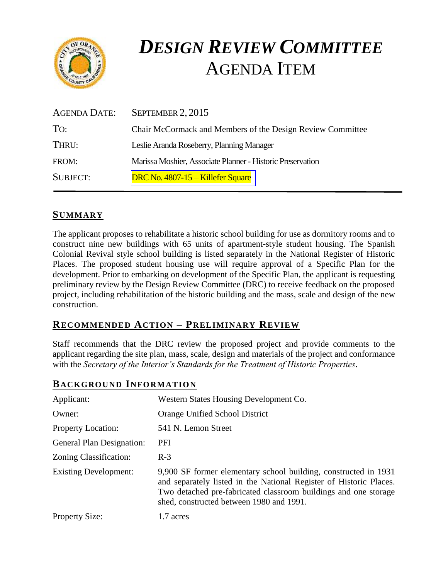

# *DESIGN REVIEW COMMITTEE*  AGENDA ITEM

| AGENDA DATE:    | SEPTEMBER 2, 2015                                          |
|-----------------|------------------------------------------------------------|
| To:             | Chair McCormack and Members of the Design Review Committee |
| THRU:           | Leslie Aranda Roseberry, Planning Manager                  |
| FROM:           | Marissa Moshier, Associate Planner - Historic Preservation |
| <b>SUBJECT:</b> | DRC No. 4807-15 – Killefer Square                          |

# **SUMMARY**

The applicant proposes to rehabilitate a historic school building for use as dormitory rooms and to construct nine new buildings with 65 units of apartment-style student housing. The Spanish Colonial Revival style school building is listed separately in the National Register of Historic Places. The proposed student housing use will require approval of a Specific Plan for the development. Prior to embarking on development of the Specific Plan, the applicant is requesting preliminary review by the Design Review Committee (DRC) to receive feedback on the proposed project, including rehabilitation of the historic building and the mass, scale and design of the new construction.

## **RECOMMENDED ACTION – PRELIMINARY REVIEW**

Staff recommends that the DRC review the proposed project and provide comments to the applicant regarding the site plan, mass, scale, design and materials of the project and conformance with the *Secretary of the Interior's Standards for the Treatment of Historic Properties*.

#### **BACKGROUND INFORMATION**

| Applicant:                       | Western States Housing Development Co.                                                                                                                                                                                                               |
|----------------------------------|------------------------------------------------------------------------------------------------------------------------------------------------------------------------------------------------------------------------------------------------------|
| Owner:                           | Orange Unified School District                                                                                                                                                                                                                       |
| <b>Property Location:</b>        | 541 N. Lemon Street                                                                                                                                                                                                                                  |
| <b>General Plan Designation:</b> | <b>PFI</b>                                                                                                                                                                                                                                           |
| Zoning Classification:           | $R-3$                                                                                                                                                                                                                                                |
| <b>Existing Development:</b>     | 9,900 SF former elementary school building, constructed in 1931<br>and separately listed in the National Register of Historic Places.<br>Two detached pre-fabricated classroom buildings and one storage<br>shed, constructed between 1980 and 1991. |
| <b>Property Size:</b>            | 1.7 acres                                                                                                                                                                                                                                            |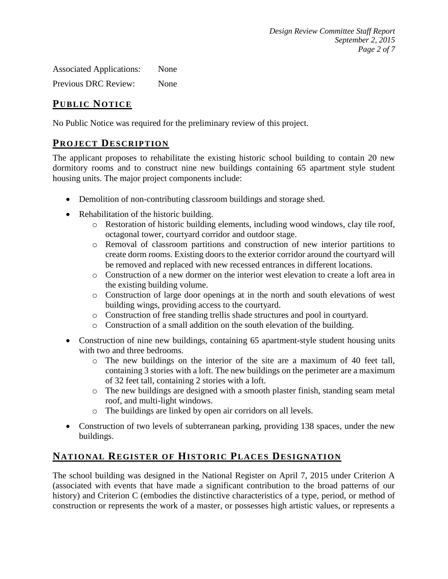Associated Applications: None

Previous DRC Review: None

# **PUB LIC NOTICE**

No Public Notice was required for the preliminary review of this project.

#### **PROJECT DESCRIP TION**

The applicant proposes to rehabilitate the existing historic school building to contain 20 new dormitory rooms and to construct nine new buildings containing 65 apartment style student housing units. The major project components include:

- Demolition of non-contributing classroom buildings and storage shed.
- Rehabilitation of the historic building.
	- o Restoration of historic building elements, including wood windows, clay tile roof, octagonal tower, courtyard corridor and outdoor stage.
	- o Removal of classroom partitions and construction of new interior partitions to create dorm rooms. Existing doors to the exterior corridor around the courtyard will be removed and replaced with new recessed entrances in different locations.
	- o Construction of a new dormer on the interior west elevation to create a loft area in the existing building volume.
	- o Construction of large door openings at in the north and south elevations of west building wings, providing access to the courtyard.
	- o Construction of free standing trellis shade structures and pool in courtyard.
	- o Construction of a small addition on the south elevation of the building.
- Construction of nine new buildings, containing 65 apartment-style student housing units with two and three bedrooms.
	- o The new buildings on the interior of the site are a maximum of 40 feet tall, containing 3 stories with a loft. The new buildings on the perimeter are a maximum of 32 feet tall, containing 2 stories with a loft.
	- o The new buildings are designed with a smooth plaster finish, standing seam metal roof, and multi-light windows.
	- o The buildings are linked by open air corridors on all levels.
- Construction of two levels of subterranean parking, providing 138 spaces, under the new buildings.

# **NATIONAL REGISTER OF HISTORIC PLACES DESIGNATION**

The school building was designed in the National Register on April 7, 2015 under Criterion A (associated with events that have made a significant contribution to the broad patterns of our history) and Criterion C (embodies the distinctive characteristics of a type, period, or method of construction or represents the work of a master, or possesses high artistic values, or represents a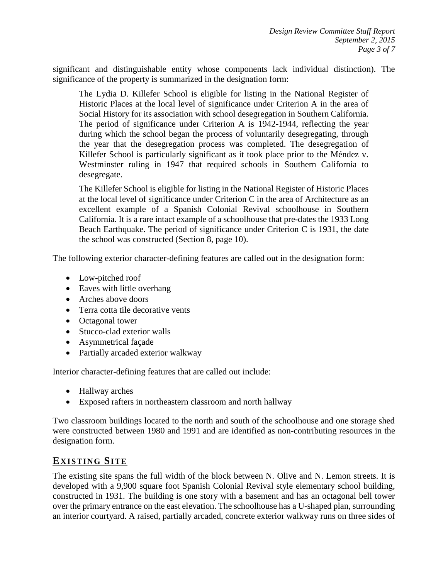significant and distinguishable entity whose components lack individual distinction). The significance of the property is summarized in the designation form:

The Lydia D. Killefer School is eligible for listing in the National Register of Historic Places at the local level of significance under Criterion A in the area of Social History for its association with school desegregation in Southern California. The period of significance under Criterion A is 1942-1944, reflecting the year during which the school began the process of voluntarily desegregating, through the year that the desegregation process was completed. The desegregation of Killefer School is particularly significant as it took place prior to the Méndez v. Westminster ruling in 1947 that required schools in Southern California to desegregate.

The Killefer School is eligible for listing in the National Register of Historic Places at the local level of significance under Criterion C in the area of Architecture as an excellent example of a Spanish Colonial Revival schoolhouse in Southern California. It is a rare intact example of a schoolhouse that pre-dates the 1933 Long Beach Earthquake. The period of significance under Criterion C is 1931, the date the school was constructed (Section 8, page 10).

The following exterior character-defining features are called out in the designation form:

- Low-pitched roof
- Eaves with little overhang
- Arches above doors
- Terra cotta tile decorative vents
- Octagonal tower
- Stucco-clad exterior walls
- Asymmetrical façade
- Partially arcaded exterior walkway

Interior character-defining features that are called out include:

- Hallway arches
- Exposed rafters in northeastern classroom and north hallway

Two classroom buildings located to the north and south of the schoolhouse and one storage shed were constructed between 1980 and 1991 and are identified as non-contributing resources in the designation form.

#### **EXISTING SITE**

The existing site spans the full width of the block between N. Olive and N. Lemon streets. It is developed with a 9,900 square foot Spanish Colonial Revival style elementary school building, constructed in 1931. The building is one story with a basement and has an octagonal bell tower over the primary entrance on the east elevation. The schoolhouse has a U-shaped plan, surrounding an interior courtyard. A raised, partially arcaded, concrete exterior walkway runs on three sides of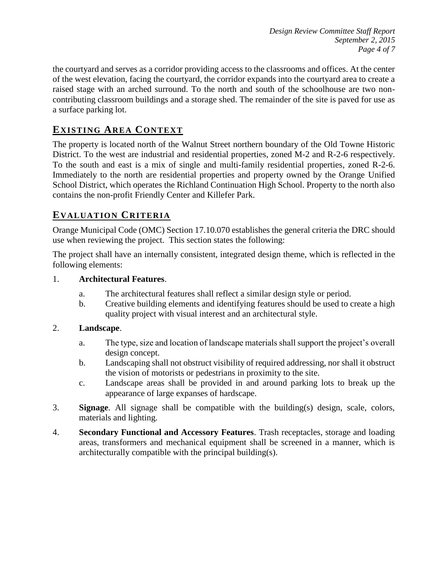*Design Review Committee Staff Report September 2, 2015 Page 4 of 7*

the courtyard and serves as a corridor providing access to the classrooms and offices. At the center of the west elevation, facing the courtyard, the corridor expands into the courtyard area to create a raised stage with an arched surround. To the north and south of the schoolhouse are two noncontributing classroom buildings and a storage shed. The remainder of the site is paved for use as a surface parking lot.

## **EXISTING AREA CONTEXT**

The property is located north of the Walnut Street northern boundary of the Old Towne Historic District. To the west are industrial and residential properties, zoned M-2 and R-2-6 respectively. To the south and east is a mix of single and multi-family residential properties, zoned R-2-6. Immediately to the north are residential properties and property owned by the Orange Unified School District, which operates the Richland Continuation High School. Property to the north also contains the non-profit Friendly Center and Killefer Park.

#### **EVALUATION CRITERIA**

Orange Municipal Code (OMC) Section 17.10.070 establishes the general criteria the DRC should use when reviewing the project. This section states the following:

The project shall have an internally consistent, integrated design theme, which is reflected in the following elements:

#### 1. **Architectural Features**.

- a. The architectural features shall reflect a similar design style or period.
- b. Creative building elements and identifying features should be used to create a high quality project with visual interest and an architectural style.

#### 2. **Landscape**.

- a. The type, size and location of landscape materials shall support the project's overall design concept.
- b. Landscaping shall not obstruct visibility of required addressing, nor shall it obstruct the vision of motorists or pedestrians in proximity to the site.
- c. Landscape areas shall be provided in and around parking lots to break up the appearance of large expanses of hardscape.
- 3. **Signage**. All signage shall be compatible with the building(s) design, scale, colors, materials and lighting.
- 4. **Secondary Functional and Accessory Features**. Trash receptacles, storage and loading areas, transformers and mechanical equipment shall be screened in a manner, which is architecturally compatible with the principal building(s).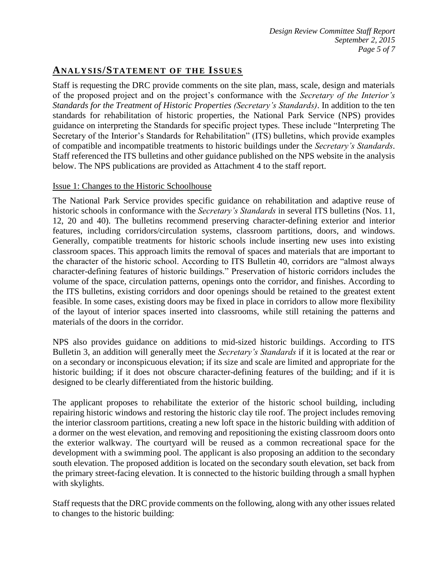## **ANALY SIS/STATEMENT OF THE ISSUES**

Staff is requesting the DRC provide comments on the site plan, mass, scale, design and materials of the proposed project and on the project's conformance with the *Secretary of the Interior's Standards for the Treatment of Historic Properties (Secretary's Standards)*. In addition to the ten standards for rehabilitation of historic properties, the National Park Service (NPS) provides guidance on interpreting the Standards for specific project types. These include "Interpreting The Secretary of the Interior's Standards for Rehabilitation" (ITS) bulletins, which provide examples of compatible and incompatible treatments to historic buildings under the *Secretary's Standards*. Staff referenced the ITS bulletins and other guidance published on the NPS website in the analysis below. The NPS publications are provided as Attachment 4 to the staff report.

#### Issue 1: Changes to the Historic Schoolhouse

The National Park Service provides specific guidance on rehabilitation and adaptive reuse of historic schools in conformance with the *Secretary's Standards* in several ITS bulletins (Nos. 11, 12, 20 and 40). The bulletins recommend preserving character-defining exterior and interior features, including corridors/circulation systems, classroom partitions, doors, and windows. Generally, compatible treatments for historic schools include inserting new uses into existing classroom spaces. This approach limits the removal of spaces and materials that are important to the character of the historic school. According to ITS Bulletin 40, corridors are "almost always character-defining features of historic buildings." Preservation of historic corridors includes the volume of the space, circulation patterns, openings onto the corridor, and finishes. According to the ITS bulletins, existing corridors and door openings should be retained to the greatest extent feasible. In some cases, existing doors may be fixed in place in corridors to allow more flexibility of the layout of interior spaces inserted into classrooms, while still retaining the patterns and materials of the doors in the corridor.

NPS also provides guidance on additions to mid-sized historic buildings. According to ITS Bulletin 3, an addition will generally meet the *Secretary's Standards* if it is located at the rear or on a secondary or inconspicuous elevation; if its size and scale are limited and appropriate for the historic building; if it does not obscure character-defining features of the building; and if it is designed to be clearly differentiated from the historic building.

The applicant proposes to rehabilitate the exterior of the historic school building, including repairing historic windows and restoring the historic clay tile roof. The project includes removing the interior classroom partitions, creating a new loft space in the historic building with addition of a dormer on the west elevation, and removing and repositioning the existing classroom doors onto the exterior walkway. The courtyard will be reused as a common recreational space for the development with a swimming pool. The applicant is also proposing an addition to the secondary south elevation. The proposed addition is located on the secondary south elevation, set back from the primary street-facing elevation. It is connected to the historic building through a small hyphen with skylights.

Staff requests that the DRC provide comments on the following, along with any other issues related to changes to the historic building: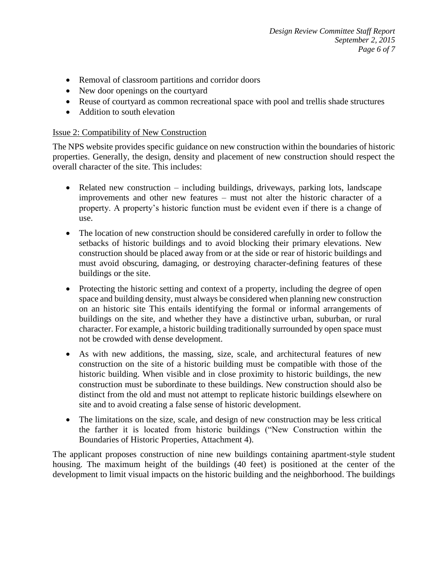- Removal of classroom partitions and corridor doors
- New door openings on the courtyard
- Reuse of courtyard as common recreational space with pool and trellis shade structures
- Addition to south elevation

#### Issue 2: Compatibility of New Construction

The NPS website provides specific guidance on new construction within the boundaries of historic properties. Generally, the design, density and placement of new construction should respect the overall character of the site. This includes:

- Related new construction including buildings, driveways, parking lots, landscape improvements and other new features – must not alter the historic character of a property. A property's historic function must be evident even if there is a change of use.
- The location of new construction should be considered carefully in order to follow the setbacks of historic buildings and to avoid blocking their primary elevations. New construction should be placed away from or at the side or rear of historic buildings and must avoid obscuring, damaging, or destroying character-defining features of these buildings or the site.
- Protecting the historic setting and context of a property, including the degree of open space and building density, must always be considered when planning new construction on an historic site This entails identifying the formal or informal arrangements of buildings on the site, and whether they have a distinctive urban, suburban, or rural character. For example, a historic building traditionally surrounded by open space must not be crowded with dense development.
- As with new additions, the massing, size, scale, and architectural features of new construction on the site of a historic building must be compatible with those of the historic building. When visible and in close proximity to historic buildings, the new construction must be subordinate to these buildings. New construction should also be distinct from the old and must not attempt to replicate historic buildings elsewhere on site and to avoid creating a false sense of historic development.
- The limitations on the size, scale, and design of new construction may be less critical the farther it is located from historic buildings ("New Construction within the Boundaries of Historic Properties, Attachment 4).

The applicant proposes construction of nine new buildings containing apartment-style student housing. The maximum height of the buildings (40 feet) is positioned at the center of the development to limit visual impacts on the historic building and the neighborhood. The buildings